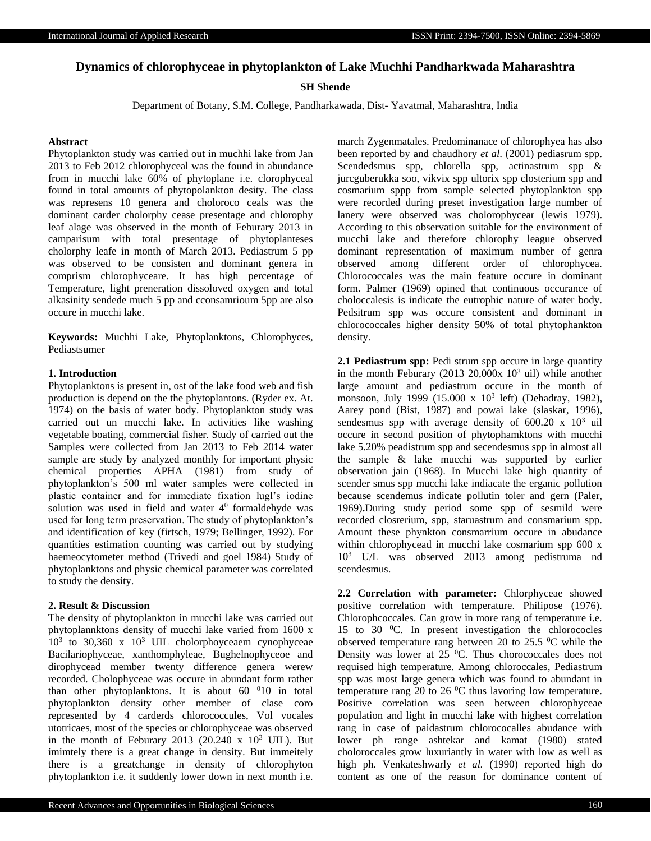# **Dynamics of chlorophyceae in phytoplankton of Lake Muchhi Pandharkwada Maharashtra**

# **SH Shende**

Department of Botany, S.M. College, Pandharkawada, Dist- Yavatmal, Maharashtra, India

### **Abstract**

Phytoplankton study was carried out in muchhi lake from Jan 2013 to Feb 2012 chlorophyceal was the found in abundance from in mucchi lake 60% of phytoplane i.e. clorophyceal found in total amounts of phytopolankton desity. The class was represens 10 genera and choloroco ceals was the dominant carder cholorphy cease presentage and chlorophy leaf alage was observed in the month of Feburary 2013 in camparisum with total presentage of phytoplanteses cholorphy leafe in month of March 2013. Pediastrum 5 pp was observed to be consisten and dominant genera in comprism chlorophyceare. It has high percentage of Temperature, light preneration dissoloved oxygen and total alkasinity sendede much 5 pp and cconsamrioum 5pp are also occure in mucchi lake.

**Keywords:** Muchhi Lake, Phytoplanktons, Chlorophyces, Pediastsumer

## **1. Introduction**

Phytoplanktons is present in, ost of the lake food web and fish production is depend on the the phytoplantons. (Ryder ex. At. 1974) on the basis of water body. Phytoplankton study was carried out un mucchi lake. In activities like washing vegetable boating, commercial fisher. Study of carried out the Samples were collected from Jan 2013 to Feb 2014 water sample are study by analyzed monthly for important physic chemical properties APHA (1981) from study of phytoplankton's 500 ml water samples were collected in plastic container and for immediate fixation lugl's iodine solution was used in field and water  $4^0$  formaldehyde was used for long term preservation. The study of phytoplankton's and identification of key (firtsch, 1979; Bellinger, 1992). For quantities estimation counting was carried out by studying haemeocytometer method (Trivedi and goel 1984) Study of phytoplanktons and physic chemical parameter was correlated to study the density.

#### **2. Result & Discussion**

The density of phytoplankton in mucchi lake was carried out phytoplannktons density of mucchi lake varied from 1600 x  $10<sup>3</sup>$  to 30,360 x  $10<sup>3</sup>$  UIL cholorphoyceaem cynophyceae Bacilariophyceae, xanthomphyleae, Bughelnophyceoe and dirophycead member twenty difference genera werew recorded. Cholophyceae was occure in abundant form rather than other phytoplanktons. It is about  $60<sup>0</sup>10$  in total phytoplankton density other member of clase coro represented by 4 carderds chlorococcules, Vol vocales utotricaes, most of the species or chlorophyceae was observed in the month of Feburary 2013 (20.240 x  $10^3$  UIL). But imimtely there is a great change in density. But immeitely there is a greatchange in density of chlorophyton phytoplankton i.e. it suddenly lower down in next month i.e.

march Zygenmatales. Predominanace of chlorophyea has also been reported by and chaudhory *et al*. (2001) pediasrum spp. Scendedsmus spp, chlorella spp, actinastrum spp & jurcguberukka soo, vikvix spp ultorix spp closterium spp and cosmarium sppp from sample selected phytoplankton spp were recorded during preset investigation large number of lanery were observed was cholorophycear (lewis 1979). According to this observation suitable for the environment of mucchi lake and therefore chlorophy league observed dominant representation of maximum number of genra observed among different order of chlorophycea. Chlorococcales was the main feature occure in dominant form. Palmer (1969) opined that continuous occurance of choloccalesis is indicate the eutrophic nature of water body. Pedsitrum spp was occure consistent and dominant in chlorococcales higher density 50% of total phytophankton density.

**2.1 Pediastrum spp:** Pedi strum spp occure in large quantity in the month Feburary (2013 20,000 $x$  10<sup>3</sup> uil) while another large amount and pediastrum occure in the month of monsoon, July 1999 (15.000 x 10<sup>3</sup> left) (Dehadray, 1982), Aarey pond (Bist, 1987) and powai lake (slaskar, 1996), sendesmus spp with average density of  $600.20 \times 10^3$  uil occure in second position of phytophamktons with mucchi lake 5.20% peadistrum spp and secendesmus spp in almost all the sample & lake mucchi was supported by earlier observation jain (1968). In Mucchi lake high quantity of scender smus spp mucchi lake indiacate the erganic pollution because scendemus indicate pollutin toler and gern (Paler, 1969)**.**During study period some spp of sesmild were recorded closrerium, spp, staruastrum and consmarium spp. Amount these phynkton consmarrium occure in abudance within chlorophycead in mucchi lake cosmarium spp 600 x 10<sup>3</sup> U/L was observed 2013 among pedistruma nd scendesmus.

**2.2 Correlation with parameter:** Chlorphyceae showed positive correlation with temperature. Philipose (1976). Chlorophcoccales. Can grow in more rang of temperature i.e. 15 to 30  $^{\circ}$ C. In present investigation the chlorococles observed temperature rang between 20 to 25.5  $\mathrm{^0C}$  while the Density was lower at  $25\,^0C$ . Thus chorococcales does not requised high temperature. Among chloroccales, Pediastrum spp was most large genera which was found to abundant in temperature rang 20 to 26  $\rm{^0C}$  thus lavoring low temperature. Positive correlation was seen between chlorophyceae population and light in mucchi lake with highest correlation rang in case of paidastrum chlorococalles abudance with lower ph range ashtekar and kamat (1980) stated choloroccales grow luxuriantly in water with low as well as high ph. Venkateshwarly *et al.* (1990) reported high do content as one of the reason for dominance content of